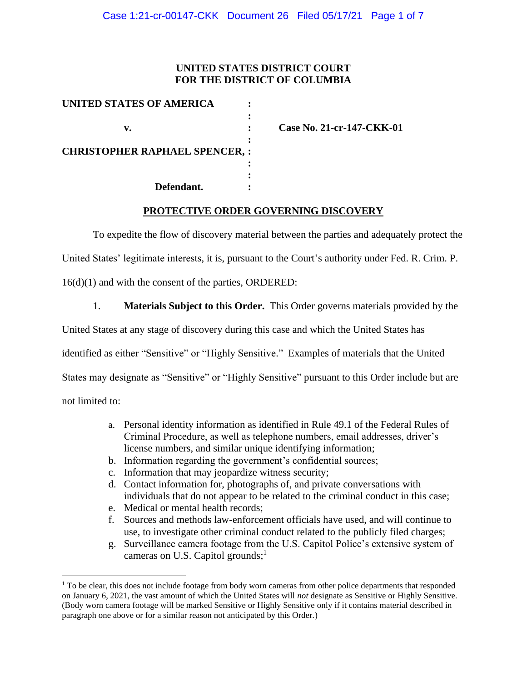### **UNITED STATES DISTRICT COURT FOR THE DISTRICT OF COLUMBIA**

| <b>UNITED STATES OF AMERICA</b>      |  |
|--------------------------------------|--|
|                                      |  |
| v.                                   |  |
| <b>CHRISTOPHER RAPHAEL SPENCER,:</b> |  |
| Defendant.                           |  |

**v. : Case No. 21-cr-147-CKK-01**

#### **PROTECTIVE ORDER GOVERNING DISCOVERY**

To expedite the flow of discovery material between the parties and adequately protect the

United States' legitimate interests, it is, pursuant to the Court's authority under Fed. R. Crim. P.

16(d)(1) and with the consent of the parties, ORDERED:

1. **Materials Subject to this Order.** This Order governs materials provided by the

United States at any stage of discovery during this case and which the United States has

identified as either "Sensitive" or "Highly Sensitive." Examples of materials that the United

States may designate as "Sensitive" or "Highly Sensitive" pursuant to this Order include but are

not limited to:

- a. Personal identity information as identified in Rule 49.1 of the Federal Rules of Criminal Procedure, as well as telephone numbers, email addresses, driver's license numbers, and similar unique identifying information;
- b. Information regarding the government's confidential sources;
- c. Information that may jeopardize witness security;
- d. Contact information for, photographs of, and private conversations with individuals that do not appear to be related to the criminal conduct in this case;
- e. Medical or mental health records;
- f. Sources and methods law-enforcement officials have used, and will continue to use, to investigate other criminal conduct related to the publicly filed charges;
- g. Surveillance camera footage from the U.S. Capitol Police's extensive system of cameras on U.S. Capitol grounds;<sup>1</sup>

 $<sup>1</sup>$  To be clear, this does not include footage from body worn cameras from other police departments that responded</sup> on January 6, 2021, the vast amount of which the United States will *not* designate as Sensitive or Highly Sensitive. (Body worn camera footage will be marked Sensitive or Highly Sensitive only if it contains material described in paragraph one above or for a similar reason not anticipated by this Order.)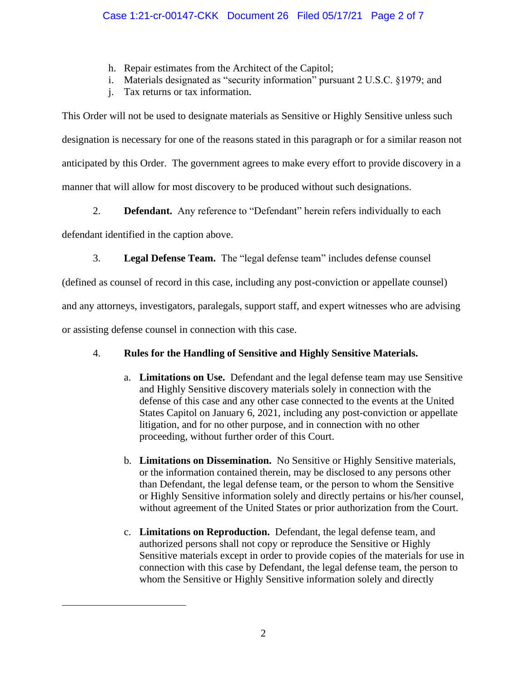- h. Repair estimates from the Architect of the Capitol;
- i. Materials designated as "security information" pursuant 2 U.S.C. §1979; and
- j. Tax returns or tax information.

This Order will not be used to designate materials as Sensitive or Highly Sensitive unless such designation is necessary for one of the reasons stated in this paragraph or for a similar reason not anticipated by this Order. The government agrees to make every effort to provide discovery in a manner that will allow for most discovery to be produced without such designations.

2. **Defendant.** Any reference to "Defendant" herein refers individually to each

defendant identified in the caption above.

3. **Legal Defense Team.** The "legal defense team" includes defense counsel

(defined as counsel of record in this case, including any post-conviction or appellate counsel)

and any attorneys, investigators, paralegals, support staff, and expert witnesses who are advising

or assisting defense counsel in connection with this case.

# 4. **Rules for the Handling of Sensitive and Highly Sensitive Materials.**

- a. **Limitations on Use.** Defendant and the legal defense team may use Sensitive and Highly Sensitive discovery materials solely in connection with the defense of this case and any other case connected to the events at the United States Capitol on January 6, 2021, including any post-conviction or appellate litigation, and for no other purpose, and in connection with no other proceeding, without further order of this Court.
- b. **Limitations on Dissemination.** No Sensitive or Highly Sensitive materials, or the information contained therein, may be disclosed to any persons other than Defendant, the legal defense team, or the person to whom the Sensitive or Highly Sensitive information solely and directly pertains or his/her counsel, without agreement of the United States or prior authorization from the Court.
- c. **Limitations on Reproduction.** Defendant, the legal defense team, and authorized persons shall not copy or reproduce the Sensitive or Highly Sensitive materials except in order to provide copies of the materials for use in connection with this case by Defendant, the legal defense team, the person to whom the Sensitive or Highly Sensitive information solely and directly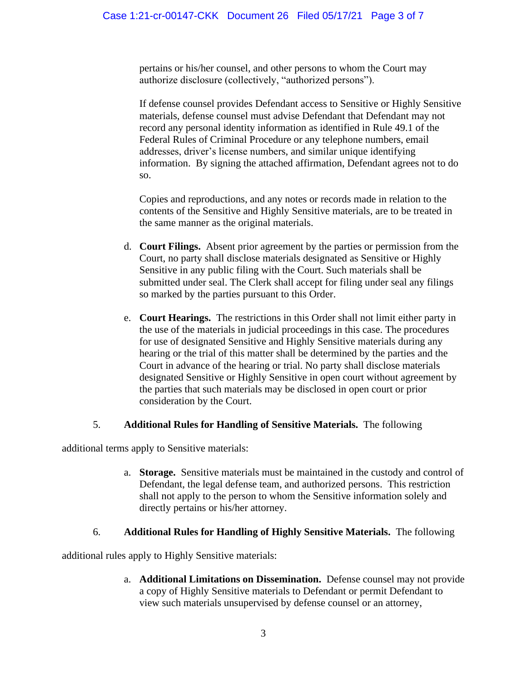pertains or his/her counsel, and other persons to whom the Court may authorize disclosure (collectively, "authorized persons").

If defense counsel provides Defendant access to Sensitive or Highly Sensitive materials, defense counsel must advise Defendant that Defendant may not record any personal identity information as identified in Rule 49.1 of the Federal Rules of Criminal Procedure or any telephone numbers, email addresses, driver's license numbers, and similar unique identifying information. By signing the attached affirmation, Defendant agrees not to do so.

Copies and reproductions, and any notes or records made in relation to the contents of the Sensitive and Highly Sensitive materials, are to be treated in the same manner as the original materials.

- d. **Court Filings.** Absent prior agreement by the parties or permission from the Court, no party shall disclose materials designated as Sensitive or Highly Sensitive in any public filing with the Court. Such materials shall be submitted under seal. The Clerk shall accept for filing under seal any filings so marked by the parties pursuant to this Order.
- e. **Court Hearings.** The restrictions in this Order shall not limit either party in the use of the materials in judicial proceedings in this case. The procedures for use of designated Sensitive and Highly Sensitive materials during any hearing or the trial of this matter shall be determined by the parties and the Court in advance of the hearing or trial. No party shall disclose materials designated Sensitive or Highly Sensitive in open court without agreement by the parties that such materials may be disclosed in open court or prior consideration by the Court.

## 5. **Additional Rules for Handling of Sensitive Materials.** The following

additional terms apply to Sensitive materials:

a. **Storage.** Sensitive materials must be maintained in the custody and control of Defendant, the legal defense team, and authorized persons. This restriction shall not apply to the person to whom the Sensitive information solely and directly pertains or his/her attorney.

## 6. **Additional Rules for Handling of Highly Sensitive Materials.** The following

additional rules apply to Highly Sensitive materials:

a. **Additional Limitations on Dissemination.** Defense counsel may not provide a copy of Highly Sensitive materials to Defendant or permit Defendant to view such materials unsupervised by defense counsel or an attorney,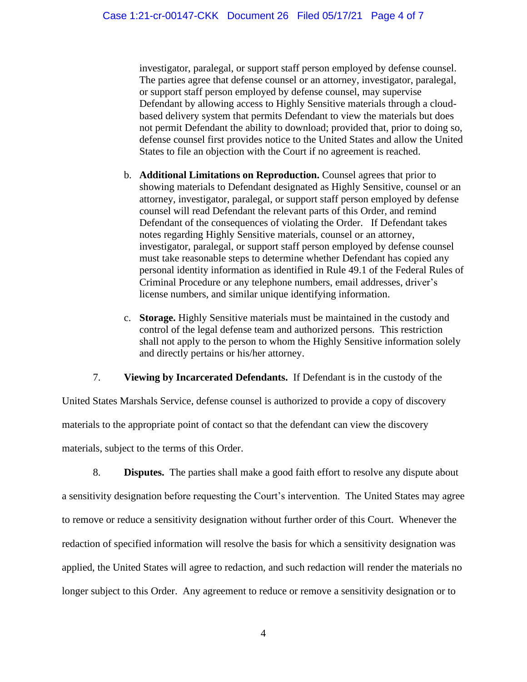investigator, paralegal, or support staff person employed by defense counsel. The parties agree that defense counsel or an attorney, investigator, paralegal, or support staff person employed by defense counsel, may supervise Defendant by allowing access to Highly Sensitive materials through a cloudbased delivery system that permits Defendant to view the materials but does not permit Defendant the ability to download; provided that, prior to doing so, defense counsel first provides notice to the United States and allow the United States to file an objection with the Court if no agreement is reached.

- b. **Additional Limitations on Reproduction.** Counsel agrees that prior to showing materials to Defendant designated as Highly Sensitive, counsel or an attorney, investigator, paralegal, or support staff person employed by defense counsel will read Defendant the relevant parts of this Order, and remind Defendant of the consequences of violating the Order. If Defendant takes notes regarding Highly Sensitive materials, counsel or an attorney, investigator, paralegal, or support staff person employed by defense counsel must take reasonable steps to determine whether Defendant has copied any personal identity information as identified in Rule 49.1 of the Federal Rules of Criminal Procedure or any telephone numbers, email addresses, driver's license numbers, and similar unique identifying information.
- c. **Storage.** Highly Sensitive materials must be maintained in the custody and control of the legal defense team and authorized persons. This restriction shall not apply to the person to whom the Highly Sensitive information solely and directly pertains or his/her attorney.

7. **Viewing by Incarcerated Defendants.** If Defendant is in the custody of the

United States Marshals Service, defense counsel is authorized to provide a copy of discovery materials to the appropriate point of contact so that the defendant can view the discovery materials, subject to the terms of this Order.

8. **Disputes.** The parties shall make a good faith effort to resolve any dispute about a sensitivity designation before requesting the Court's intervention. The United States may agree to remove or reduce a sensitivity designation without further order of this Court. Whenever the redaction of specified information will resolve the basis for which a sensitivity designation was applied, the United States will agree to redaction, and such redaction will render the materials no longer subject to this Order. Any agreement to reduce or remove a sensitivity designation or to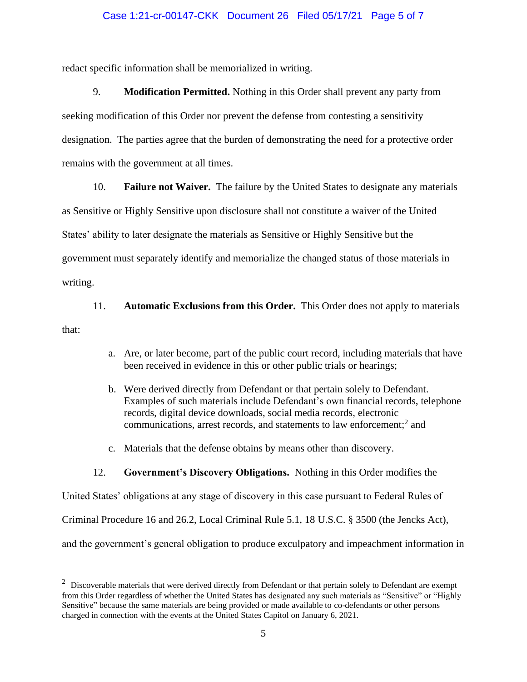#### Case 1:21-cr-00147-CKK Document 26 Filed 05/17/21 Page 5 of 7

redact specific information shall be memorialized in writing.

9. **Modification Permitted.** Nothing in this Order shall prevent any party from seeking modification of this Order nor prevent the defense from contesting a sensitivity designation. The parties agree that the burden of demonstrating the need for a protective order remains with the government at all times.

10. **Failure not Waiver.** The failure by the United States to designate any materials

as Sensitive or Highly Sensitive upon disclosure shall not constitute a waiver of the United

States' ability to later designate the materials as Sensitive or Highly Sensitive but the

government must separately identify and memorialize the changed status of those materials in

writing.

#### 11. **Automatic Exclusions from this Order.** This Order does not apply to materials

that:

- a. Are, or later become, part of the public court record, including materials that have been received in evidence in this or other public trials or hearings;
- b. Were derived directly from Defendant or that pertain solely to Defendant. Examples of such materials include Defendant's own financial records, telephone records, digital device downloads, social media records, electronic communications, arrest records, and statements to law enforcement; 2 and
- c. Materials that the defense obtains by means other than discovery.

#### 12. **Government's Discovery Obligations.** Nothing in this Order modifies the

United States' obligations at any stage of discovery in this case pursuant to Federal Rules of

Criminal Procedure 16 and 26.2, Local Criminal Rule 5.1, 18 U.S.C. § 3500 (the Jencks Act),

and the government's general obligation to produce exculpatory and impeachment information in

 $2$  Discoverable materials that were derived directly from Defendant or that pertain solely to Defendant are exempt from this Order regardless of whether the United States has designated any such materials as "Sensitive" or "Highly Sensitive" because the same materials are being provided or made available to co-defendants or other persons charged in connection with the events at the United States Capitol on January 6, 2021.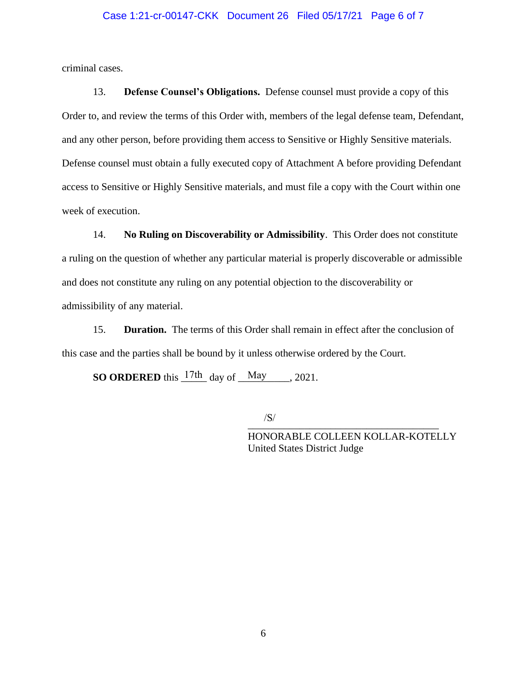#### Case 1:21-cr-00147-CKK Document 26 Filed 05/17/21 Page 6 of 7

criminal cases.

13. **Defense Counsel's Obligations.** Defense counsel must provide a copy of this Order to, and review the terms of this Order with, members of the legal defense team, Defendant, and any other person, before providing them access to Sensitive or Highly Sensitive materials. Defense counsel must obtain a fully executed copy of Attachment A before providing Defendant access to Sensitive or Highly Sensitive materials, and must file a copy with the Court within one week of execution.

14. **No Ruling on Discoverability or Admissibility**. This Order does not constitute a ruling on the question of whether any particular material is properly discoverable or admissible and does not constitute any ruling on any potential objection to the discoverability or admissibility of any material.

15. **Duration.** The terms of this Order shall remain in effect after the conclusion of this case and the parties shall be bound by it unless otherwise ordered by the Court.

**SO ORDERED** this  $\frac{17\text{th}}{17\text{th}}$  day of  $\frac{\text{May}}{\text{May}}$ , 2021.

\_\_\_\_\_\_\_\_\_\_\_\_\_\_\_\_\_\_\_\_\_\_\_\_\_\_\_\_\_\_\_\_\_\_\_\_\_ /S/

HONORABLE COLLEEN KOLLAR-KOTELLY United States District Judge